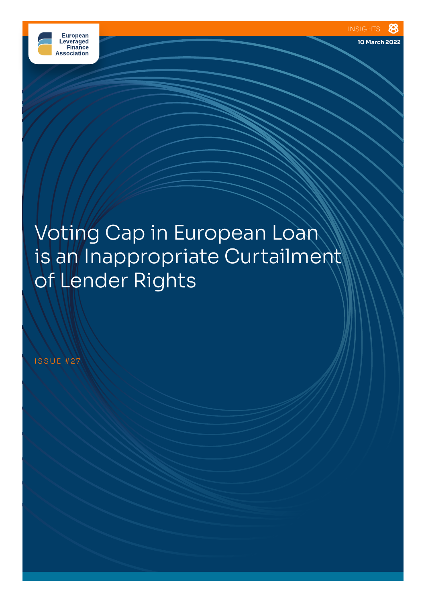

**10 March 2022**

# Voting Cap in European Loan is an Inappropriate Curtailment of Lender Rights

ISSUE #27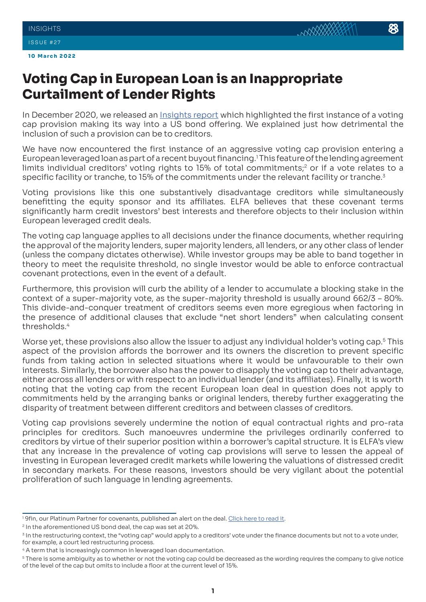## ISSUE #27

## **Voting Cap in European Loan is an Inappropriate Curtailment of Lender Rights**

In December 2020, we released an [Insights report](https://elfainvestors.com/wp-content/uploads/2020/12/ELFA-Insights-11-Voting-Cap-Provisions-are-an-Inappropriate-Curtailment-of-Investor-Rights.pdf) which highlighted the first instance of a voting cap provision making its way into a US bond offering. We explained just how detrimental the inclusion of such a provision can be to creditors.

We have now encountered the first instance of an aggressive voting cap provision entering a European leveraged loan as part of a recent buyout financing.<sup>1</sup> This feature of the lending agreement limits individual creditors' voting rights to 15% of total commitments;<sup>2</sup> or if a vote relates to a specific facility or tranche, to 15% of the commitments under the relevant facility or tranche.<sup>3</sup>

Voting provisions like this one substantively disadvantage creditors while simultaneously benefitting the equity sponsor and its affiliates. ELFA believes that these covenant terms significantly harm credit investors' best interests and therefore objects to their inclusion within European leveraged credit deals.

The voting cap language applies to all decisions under the finance documents, whether requiring the approval of the majority lenders, super majority lenders, all lenders, or any other class of lender (unless the company dictates otherwise). While investor groups may be able to band together in theory to meet the requisite threshold, no single investor would be able to enforce contractual covenant protections, even in the event of a default.

Furthermore, this provision will curb the ability of a lender to accumulate a blocking stake in the context of a super-majority vote, as the super-majority threshold is usually around 662/3 – 80%. This divide-and-conquer treatment of creditors seems even more egregious when factoring in the presence of additional clauses that exclude "net short lenders" when calculating consent thresholds.<sup>4</sup>

Worse yet, these provisions also allow the issuer to adjust any individual holder's voting cap.<sup>5</sup> This aspect of the provision affords the borrower and its owners the discretion to prevent specific funds from taking action in selected situations where it would be unfavourable to their own interests. Similarly, the borrower also has the power to disapply the voting cap to their advantage, either across all lenders or with respect to an individual lender (and its affiliates). Finally, it is worth noting that the voting cap from the recent European loan deal in question does not apply to commitments held by the arranging banks or original lenders, thereby further exaggerating the disparity of treatment between different creditors and between classes of creditors.

Voting cap provisions severely undermine the notion of equal contractual rights and pro-rata principles for creditors. Such manoeuvres undermine the privileges ordinarily conferred to creditors by virtue of their superior position within a borrower's capital structure. It is ELFA's view that any increase in the prevalence of voting cap provisions will serve to lessen the appeal of investing in European leveraged credit markets while lowering the valuations of distressed credit in secondary markets. For these reasons, investors should be very vigilant about the potential proliferation of such language in lending agreements.

<sup>&</sup>lt;sup>1</sup> 9fin, our Platinum Partner for covenants, published an alert on the deal. <u>Click here to read it</u>.

<sup>&</sup>lt;sup>2</sup> In the aforementioned US bond deal, the cap was set at 20%.

<sup>&</sup>lt;sup>3</sup> In the restructuring context, the "voting cap" would apply to a creditors' vote under the finance documents but not to a vote under, for example, a court led restructuring process.

<sup>&</sup>lt;sup>4</sup> A term that is increasingly common in leveraged loan documentation.

<sup>&</sup>lt;sup>5</sup> There is some ambiguity as to whether or not the voting cap could be decreased as the wording requires the company to give notice of the level of the cap but omits to include a floor at the current level of 15%.